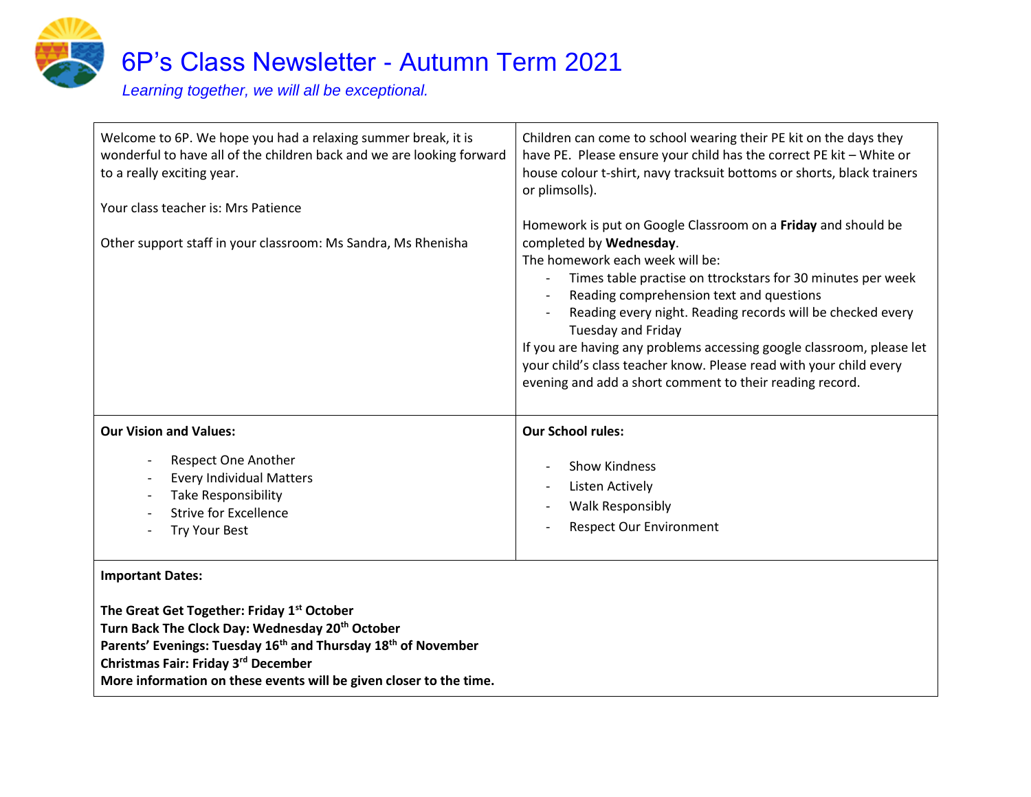

# 6P's Class Newsletter - Autumn Term 2021

*Learning together, we will all be exceptional.*

| Welcome to 6P. We hope you had a relaxing summer break, it is<br>wonderful to have all of the children back and we are looking forward<br>to a really exciting year.<br>Your class teacher is: Mrs Patience<br>Other support staff in your classroom: Ms Sandra, Ms Rhenisha                                                               | Children can come to school wearing their PE kit on the days they<br>have PE. Please ensure your child has the correct PE kit - White or<br>house colour t-shirt, navy tracksuit bottoms or shorts, black trainers<br>or plimsolls).<br>Homework is put on Google Classroom on a Friday and should be<br>completed by Wednesday.<br>The homework each week will be:<br>Times table practise on ttrockstars for 30 minutes per week<br>$\overline{\phantom{a}}$<br>Reading comprehension text and questions<br>Reading every night. Reading records will be checked every<br>Tuesday and Friday<br>If you are having any problems accessing google classroom, please let<br>your child's class teacher know. Please read with your child every<br>evening and add a short comment to their reading record. |
|--------------------------------------------------------------------------------------------------------------------------------------------------------------------------------------------------------------------------------------------------------------------------------------------------------------------------------------------|-----------------------------------------------------------------------------------------------------------------------------------------------------------------------------------------------------------------------------------------------------------------------------------------------------------------------------------------------------------------------------------------------------------------------------------------------------------------------------------------------------------------------------------------------------------------------------------------------------------------------------------------------------------------------------------------------------------------------------------------------------------------------------------------------------------|
| <b>Our Vision and Values:</b><br><b>Respect One Another</b><br><b>Every Individual Matters</b><br>Take Responsibility<br><b>Strive for Excellence</b><br>Try Your Best                                                                                                                                                                     | <b>Our School rules:</b><br><b>Show Kindness</b><br><b>Listen Actively</b><br><b>Walk Responsibly</b><br><b>Respect Our Environment</b>                                                                                                                                                                                                                                                                                                                                                                                                                                                                                                                                                                                                                                                                   |
| <b>Important Dates:</b><br>The Great Get Together: Friday 1st October<br>Turn Back The Clock Day: Wednesday 20 <sup>th</sup> October<br>Parents' Evenings: Tuesday 16 <sup>th</sup> and Thursday 18 <sup>th</sup> of November<br>Christmas Fair: Friday 3rd December<br>More information on these events will be given closer to the time. |                                                                                                                                                                                                                                                                                                                                                                                                                                                                                                                                                                                                                                                                                                                                                                                                           |